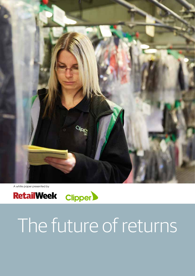

A white paper presented by



# The future of returns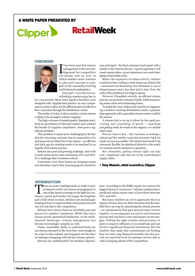## a White Paper presented by

# **Clipper RetailWeek**

#### FOREWORD



The been said that returns<br>
management is the new bat-<br>
tleground for competitive<br>
advantage and an area in t has been said that returns management is the new batadvantage and an area in which retailers must continue to plan and innovate to compete in the constantly evolving multichannel marketplace.

Amongst considerations, rethinking warehousing has to

be a top priority. Most retail logistics facilities were designed with 'supplier best practice' as a key component in order to allow for the efficient and cost effective flow of product through the distribution centre.

The reality of today is that a retailer's return stream is likely to be its largest volume 'supplier'.

The high volumes of unanticipated, disparate stock, from an assortment of inbound carriers and without the benefit of 'supplier compliance', does pose a significant problem.

That problem is made more challenging by the fact that the returning customer has an expectation of a quick process to refund his or her money – an efficient and slick app for ordering needs to be matched by an equally slick returns process.

Returns are a real and growing challenge. And with overall online return rates of between 25% and 50%, it's a challenge that is business-critical.

Consumers view their homes as changing rooms and therefore expect that returning goods should be easy and rapid – the final customer touch-point with a retailer is the returns process. A good experience will create repeat orders, a poor experience can create damaging social media noise.

Before the explosion of online activity, retailers could have been willing to treat returns as a black hole – unwanted and frustrating, but ultimately a cost of doing business and a loss they had to bear. Now, the scale of the problem is too large to ignore.

However, if handled correctly, an efficient returns process can promote customer loyalty while maximising resale value and minimising losses.

To tackle the issue without the need for re-engineering a retailer's existing distribution centre, a partnership approach with a specialist returns centre could be the answer.

A returns hub is set up to allow for the rapid processing and reworking of goods – repacking and getting ready for resale at the original, or a similar retail value.

Process time is key – the customer is seeking a refund and the retailer wants the inventory back for resale as soon as possible. The returns hub needs to be extremely flexible, be interfaced directly to the retailer's systems and be seamless in operation.

But ultimately, getting returns right can take cost, complexity and risk out of the multichannel supply chain.

#### • Tony Mannix, chief executive, Clipper

#### **INTRODUCTION**

There are many battlegrounds in today's multichannel world, but returns management is one of the latest to emerge in the fight for customers' spend and loyalty. No longer the forgotten part of the retail journey, retailers are increasingly looking at how to improve their returns process and use it to rise above the competition.

Returns have always been an inevitable part and parcel of a retailer's operations. While they have always posed operational headaches, in the multichannel landscape, returns management has become increasingly complex as well.

Today, unsuitable, faulty or undesired items are not always returned to the store they were bought in for a face-to-face refund, and long gone are the days of catalogue shopping with 28-day returns options.

Returns are, unfortunately for retailers, big busi-

ness. According to the IMRG report *Are returns the biggest threat to commerce?,* industry analysts have predicted online return rates of anywhere between 25% and 50%.

But many retailers are yet to appreciate the true impact returns have on their business and the benefits they can reap by optimising the returns process – an optimisation that goes beyond mere reverse logistics. It encompasses an end-to-end business process and can have a very real impact on net margins. Putting the right systems and processes in place to improve efficiency is no small task and can involve significant financial investment. But the retailers that make that commitment are finding they not only reap financial rewards, but also provide an expected level of customer service that is vital in keeping ahead of the competition.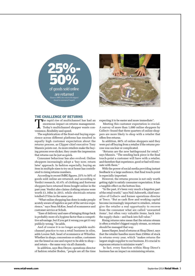



#### THE CHALLENGE OF RETURNS

The rapid rise of multichannel has had an enormous impact on returns management.<br>Today's multichannel shopper wants con-<br>wonience flexibility and enord enormous impact on returns management. venience, flexibility and speed.

The sophistication of the front-end buying experience across different platforms has resulted in equally high customer expectation about the returns process, as Clipper chief executive Tony Mannix points out. As more retailers make the buying process ever-slicker, they create the impression that returns can be just as quick.

Consumer behaviour has also evolved. Online shoppers increasingly adopt a 'buy now, return later' approach. In fashion especially, buying an item in multiple sizes to try on at home has contributed to rising returns numbers.

According to recent IMRG figures, 25% to 50% of goods sold online are returned, and according to Verdict research, 43.4% of clothing and footwear shoppers have returned items bought online in the past year. Verdict also claims clothing returns were worth £1.16bn in 2013, while electricals returns totalled £733m in the same year.

 "What online shopping has done is make people acutely aware of logistics as part of the service experience," says Sean McKee, head of ecommerce and customer service at Schuh.

"Ease of delivery and ease of bringing things back is probably more of a hygiene factor than a competitive advantage, but if you get it wrong you get it very publicly wrong," he adds.

And of course it is no longer acceptable multichannel practice to run a retail business in silos, adds Louise Salt, head of ecommerce at Whistles. Whether in shops, concessions or online, customers see the brand as one and expect to be able to shop – and return – the same way via all channels.

In addition, says Ben Dreyer, operations director of fashion retailer Boden, "people are all the time expecting it to be easier and more immediate".

 Meeting this customer expectation is crucial. A survey of more than 1,000 online shoppers by Collect+ found that three quarters of online shoppers are more likely to shop with a retailer that offers free returns.

In addition, 66% of online shoppers said they were put off buying from a retailer if the returns process was unclear or complicated.

"Returns are the new battleground for retail," says Mannix. "The sending back piece is the final touch-point a customer will have with a retailer, and therefore that experience, good or bad will resonate with them."

With the power of social media providing instant feedback to a large audience, that final touch-point is especially important.

However, the returns process is not only worth getting right to satisfy consumer expectation. It has a tangible effect on the bottom line.

"In the past, it's been very much a forgotten part of the retail world," says Neil Ashworth, chief executive of Collect+ and former operations director at Tesco. "But as cash flow and working capital become increasingly important to retailers, returns give the retailer a real opportunity to recover from the consumer what are called 'unwanted items', but often very valuable items, back into the supply chain – and back into full value."

Rising returns rates mean that the returns stream is often a retailer's biggest supply stream, so returns should be managed that way.

James Harper, head of returns at Shop Direct, says that the retailer handles more than £500m of stock in returns every year, which "makes returns the largest single supplier to our business. It's crucial to reprocess returns to minimise waste".

 In fact, every function within Shop Direct's business has an impact on minimising returns.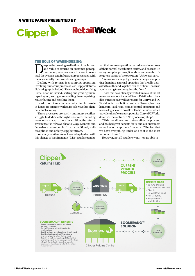## a White Paper presented by

# **RetailWeek Clipper**

#### THE ROLE OF WAREHOUSING

espite the growing realisation of the impact and value of returns on customer perception, many retailers are still slow to overhaul the systems and infrastructure associated with them, especially their warehousing set-ups.

Dealing with returns is a complex operation, involving numerous processes (see Clipper Returns Hub infographic below). These include identifying items, often un-boxed, sorting and grading them, repackaging, testing or re-labelling them, repairing, redistributing and reselling them.

In addition, items that are not suited for resale in-house are often re-worked for sale via other channels, such as eBay.

These processes are costly and many retailers struggle to dedicate the right resources, including warehouse space, to them. In addition, the returns stream itself is "always chaotic", says Mannix, and "massively more complex" than a traditional, welldisciplined and orderly supplier stream.

Yet many retailers are not geared up to deal with this change of requirements. "Most retailers tend to put their returns operation tucked away in a corner of their normal distribution centre, and because it's a very complex process, it tends to become a bit of a forgotten corner of the operation," Ashworth says.

"Returns are a huge logistical challenge, and putting them into a normal operation that's really dedicated to outbound logistics can be difficult, because you're trying to swim against the flow."

Those that have already invested in state-of-the-art returns operations include Dixons Retail, which handles outgoings as well as returns for Currys and PC World in its distribution centre in Newark, Nottinghamshire. Paul Read, head of central operations and reverse logistics at KnowHow Home Services, which provides the after-sales support for Currys PC World, describes the centre as a "truly one-stop shop".

"This has allowed us to streamline the process, and has had great benefits for us and our customers as well as our suppliers," he adds. "The fact that we have everything under one roof is the most important thing."

However, not all retailers want – or are able to –

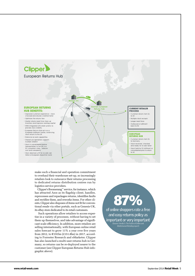

make such a financial and operation commitment to overhaul their warehouse set-up, so increasingly retailers look to outsource their returns processing to dedicated returns distribution centres run by logistics service providers.

Clipper's Boomerang™ service, for instance, which has attracted Asos as its flagship client, handles, reprocesses and repackages returns, identifies faults and rectifies them, and reworks items. For other clients, Clipper also disposes of items not fit for conventional resale via other portals, such as Genesis-UK, its eBay store dedicated to its retail customers.

 Such operations allow retailers to access expertise in a variety of processes, without having to set them up themselves, and take advantage of significant scale efficiency. In addition, more retailers are selling internationally, with European online retail sales forecast to grow 11% a year over five years from 2012, to  $\epsilon$ 191bn (£151.8bn) in 2017, according to Forrester Research and eMarketer. Clipper has also launched a multi-user returns hub in Germany, so returns can be re-deployed nearer to the customer (see Clipper European Returns Hub infographic above).

of online shoppers rate a free 87% and easy returns policy as important or very important (Source: Verdict's The Future of Online and Multichannel Retailing report)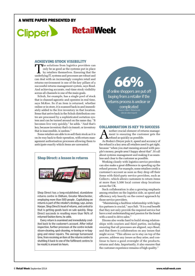## a White Paper presented by

# **RetailWeek Clipper**

#### ACHIEVING STOCK VISIBILITY

The solutions from logistics providers can only be as good as the systems put in place by retailers themselves. Ensuring that the underlying  $IT$  everyons and processes are reputed and only be as good as the systems put in place underlying IT, systems and processes are robust and can deal with an increasingly complex retail and returns environment is one of the key pillars of a successful returns management system, says Read. And achieving accurate, real-time stock visibility across all channels is one of the main goals.

Schuh, for example, has a single pool of stock that is channel-agnostic and operates in real time, says McKee. So if an item is returned, whether online or in-store, it is scanned back in and immediately added to the live inventory in that location. Items that arrive back in the Schuh distribution centre are processed by a sophisticated sortation system and can be turned around on the same day. "It becomes live very quickly," he adds. "And that's key, because inventory that's in transit, or inventory that is inaccessible, is useless."

Some retailers are able to re-sell their stock as it is on its way back to their operation, with return management authorisation processes allowing them to anticipate exactly which items are unwanted.



Shop Direct has a long-established, standalone returns centre in Oldham, Greater Manchester, employing more than 500 people . Capitalising on returns is part of the retailer's strategy, says James Harper, Shop Direct's head of returns, and central to that is getting goods back on sale quickly. Shop Direct succeeds in reselling more than 96% of returned fashion items, he adds.

Every return is examined and immediately credited back to the customer's account. After initial inspection, further processes at the centre include steam-cleaning, spot-cleaning, re-boxing or re-bagging and minor repairs. The average turnaround time, from receiving an item at the returns centre to shuttling it back to one of the fulfilment centres to be resold, is around six hours.

of online shoppers are put off 66% buying from a retailer if the returns process is unclear or

complicated (Source: Collect+ Returns and Click & Collect report)

#### COLLABORATION IS KEY TO SUCCESS

nother crucial element of returns management is ensuring the customer gets the refund as quickly as possible.

As Boden's Dreyer puts it, speed and accuracy of the refund is a key area all retailers need to get right, because "when you start messing around with people's money, people aren't happy about that". It's all about systems management and making it as seamless and clear to the customer as possible.

Working closely with logistics service providers can also make a great difference in speeding up the refund process. For example, some retailers credit a customer's account as soon as they drop off their items with third-party service providers, such as Collect+, which allows customers to return items at more than 5,500 local corner shop locations across the UK.

Such collaboration is also a growing emphasis among retailers on the logistics side, as speed and efficiency rely heavily on the correct approach by those service providers.

"Maintaining a faultless relationship with logistics partners is crucial," says Salt. "It is a real benefit that they not only provide the required service but have a real understanding and passion for the brand with a need to drive sales."

Dixons also works hard to build strong relationships with couriers and third parties, including ensuring that all processes are aligned, says Read, and that there is collaboration on any issues that might occur. "This allows us to stay on top of the process, address any issues as they arise, and continue to have a good oversight of the products, returns and data. Importantly, it also ensures that the customer experience remains of high quality."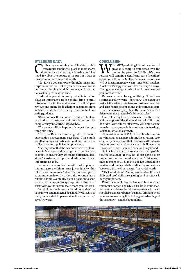#### UTILISING DATA

ultivating and mining the right data to minimise returns in the first place is another area retailers are increasingly focusing on. "The need for absolute accuracy in product data is hugely important," says Ashworth.

"Not just so you can create the right image and impression online, but so you can make sure the customer is buying the right product, and product data actually reduces returns."

Up-front help on sizing and product information plays an important part in Schuh's drive to minimise returns, with the retailer about to roll out peer reviews and sizing feedback from customers on its website, in addition to existing video content and sizing guidance.

"We want to sell customers the item as best we can in the first instance, and there is no room for complacency in returns," says McKee.

"Customers will be happier if you get the right thing first time."

At Dixons Retail, minimising returns is about expectation management, says Read. This entails excellent service and advice around the products as well as the return policies and processes.

"It is important that the customer receives all relevant information and detail prior to purchasing a product, to ensure they are making informed decisions." Customer support and education is also important, he adds.

Increased personalisation will start to play an interesting role within returns, just as it has within retail sales, maintains Ashworth. For example, if someone consistently orders the wrong size, a retailer should eventually be in a position to send products that are more appropriately sized as it starts to know the customer at a more granular level.

"A lot of the challenge is around understanding consumers, and managing data in different ways so that you can start to personalise the experience," says Ashworth.

#### **CONCLUSION**

**W** Figrow in size up to four times over the next eight years, to £125bn, it's clear returns will romain a significant part of ratailors' grow in size up to four times over the returns will remain a significant part of retailers' operations. Schuh's McKee believes free returns will be the norm in a few years' time for all retailers. "Look what's happened with free delivery," he says. "It might not swing a sale but it will lose you one if you don't offer it."

Returns can also be a good thing. "I don't see returns as a 'dirty word'," says Salt. "The easier you make it, the better it is in terms of customer retention and, if an item is bought online and returned to store, which is increasing significantly, then it's a footfall driver with the potential of additional sales."

Understanding the costs associated with returns and the opportunities that retailers write off if they don't deal with returns effectively will only become more important, especially as retailers increasingly look to international growth.

At Whistles, around 15% of its online business is now international and receipting those returns back efficiently is key, says Salt. Dealing with international returns is also Boden's main challenge, says Dreyer, with more than half its sales being abroad.

So it is imperative that retailers get on top of the returns challenge. If they do, it can have a great impact on net delivered margins. "Net margin improvement of 0.1% to 0.3% is not unusual in a retailer, and that's a retailer delivering somewhere between 3% to 6% net margin," says Ashworth.

"That would be a 10% improvement on their net delivered profitability, so getting hold of returns is hugely important."

Returns can no longer be languish in a forgotten warehouse corner. The UK is a leader in multichannel retail, so offering the returns experience to match should be at the forefront of business thinking. More retailers are realising this, to the great advantage of the consumer – and the bottom line.